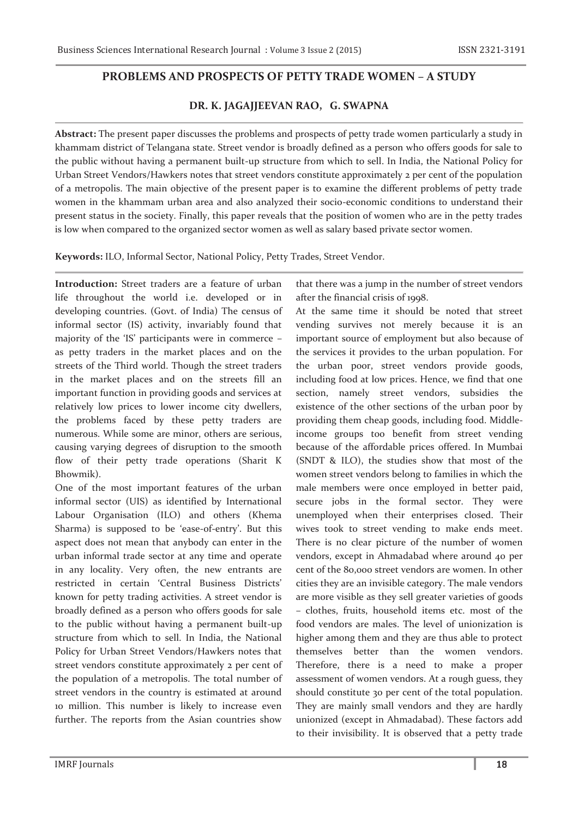## **PROBLEMS AND PROSPECTS OF PETTY TRADE WOMEN – A STUDY**

## **DR. K. JAGAJJEEVAN RAO, G. SWAPNA**

**Abstract:** The present paper discusses the problems and prospects of petty trade women particularly a study in khammam district of Telangana state. Street vendor is broadly defined as a person who offers goods for sale to the public without having a permanent built-up structure from which to sell. In India, the National Policy for Urban Street Vendors/Hawkers notes that street vendors constitute approximately 2 per cent of the population of a metropolis. The main objective of the present paper is to examine the different problems of petty trade women in the khammam urban area and also analyzed their socio-economic conditions to understand their present status in the society. Finally, this paper reveals that the position of women who are in the petty trades is low when compared to the organized sector women as well as salary based private sector women.

**Keywords:** ILO, Informal Sector, National Policy, Petty Trades, Street Vendor.

**Introduction:** Street traders are a feature of urban life throughout the world i.e. developed or in developing countries. (Govt. of India) The census of informal sector (IS) activity, invariably found that majority of the 'IS' participants were in commerce – as petty traders in the market places and on the streets of the Third world. Though the street traders in the market places and on the streets fill an important function in providing goods and services at relatively low prices to lower income city dwellers, the problems faced by these petty traders are numerous. While some are minor, others are serious, causing varying degrees of disruption to the smooth flow of their petty trade operations (Sharit K Bhowmik).

One of the most important features of the urban informal sector (UIS) as identified by International Labour Organisation (ILO) and others (Khema Sharma) is supposed to be 'ease-of-entry'. But this aspect does not mean that anybody can enter in the urban informal trade sector at any time and operate in any locality. Very often, the new entrants are restricted in certain 'Central Business Districts' known for petty trading activities. A street vendor is broadly defined as a person who offers goods for sale to the public without having a permanent built-up structure from which to sell. In India, the National Policy for Urban Street Vendors/Hawkers notes that street vendors constitute approximately 2 per cent of the population of a metropolis. The total number of street vendors in the country is estimated at around 10 million. This number is likely to increase even further. The reports from the Asian countries show

that there was a jump in the number of street vendors after the financial crisis of 1998.

At the same time it should be noted that street vending survives not merely because it is an important source of employment but also because of the services it provides to the urban population. For the urban poor, street vendors provide goods, including food at low prices. Hence, we find that one section, namely street vendors, subsidies the existence of the other sections of the urban poor by providing them cheap goods, including food. Middleincome groups too benefit from street vending because of the affordable prices offered. In Mumbai (SNDT & ILO), the studies show that most of the women street vendors belong to families in which the male members were once employed in better paid, secure jobs in the formal sector. They were unemployed when their enterprises closed. Their wives took to street vending to make ends meet. There is no clear picture of the number of women vendors, except in Ahmadabad where around 40 per cent of the 80,000 street vendors are women. In other cities they are an invisible category. The male vendors are more visible as they sell greater varieties of goods – clothes, fruits, household items etc. most of the food vendors are males. The level of unionization is higher among them and they are thus able to protect themselves better than the women vendors. Therefore, there is a need to make a proper assessment of women vendors. At a rough guess, they should constitute 30 per cent of the total population. They are mainly small vendors and they are hardly unionized (except in Ahmadabad). These factors add to their invisibility. It is observed that a petty trade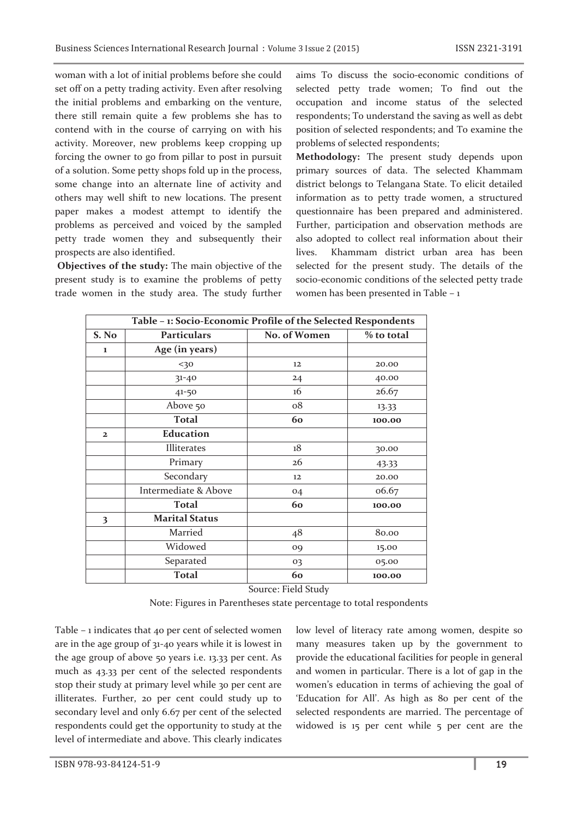woman with a lot of initial problems before she could set off on a petty trading activity. Even after resolving the initial problems and embarking on the venture, there still remain quite a few problems she has to contend with in the course of carrying on with his activity. Moreover, new problems keep cropping up forcing the owner to go from pillar to post in pursuit of a solution. Some petty shops fold up in the process, some change into an alternate line of activity and others may well shift to new locations. The present paper makes a modest attempt to identify the problems as perceived and voiced by the sampled petty trade women they and subsequently their prospects are also identified.

 **Objectives of the study:** The main objective of the present study is to examine the problems of petty trade women in the study area. The study further aims To discuss the socio-economic conditions of selected petty trade women; To find out the occupation and income status of the selected respondents; To understand the saving as well as debt position of selected respondents; and To examine the problems of selected respondents;

**Methodology:** The present study depends upon primary sources of data. The selected Khammam district belongs to Telangana State. To elicit detailed information as to petty trade women, a structured questionnaire has been prepared and administered. Further, participation and observation methods are also adopted to collect real information about their lives. Khammam district urban area has been selected for the present study. The details of the socio-economic conditions of the selected petty trade women has been presented in Table – 1

| Table - 1: Socio-Economic Profile of the Selected Respondents |                       |              |            |  |  |  |
|---------------------------------------------------------------|-----------------------|--------------|------------|--|--|--|
| S. No                                                         | <b>Particulars</b>    | No. of Women | % to total |  |  |  |
| 1                                                             | Age (in years)        |              |            |  |  |  |
|                                                               | 30                    | 12           | 20.00      |  |  |  |
|                                                               | $31 - 40$             | 24           | 40.00      |  |  |  |
|                                                               | $41 - 50$             | 16           | 26.67      |  |  |  |
|                                                               | Above 50              | $\rm ^{o8}$  | 13.33      |  |  |  |
|                                                               | <b>Total</b>          | 60           | 100.00     |  |  |  |
| $\overline{2}$                                                | <b>Education</b>      |              |            |  |  |  |
|                                                               | Illiterates           | 18           | 30.00      |  |  |  |
|                                                               | Primary               | 26           | 43.33      |  |  |  |
|                                                               | Secondary             | 12           | 20.00      |  |  |  |
|                                                               | Intermediate & Above  | 04           | 06.67      |  |  |  |
|                                                               | <b>Total</b>          | 60           | 100.00     |  |  |  |
| 3                                                             | <b>Marital Status</b> |              |            |  |  |  |
|                                                               | Married               | 48           | 80.00      |  |  |  |
|                                                               | Widowed               | 09           | 15.00      |  |  |  |
|                                                               | Separated             | 03           | 05.00      |  |  |  |
|                                                               | <b>Total</b>          | 60           | 100.00     |  |  |  |

Source: Field Study

Note: Figures in Parentheses state percentage to total respondents

Table – 1 indicates that 40 per cent of selected women are in the age group of 31-40 years while it is lowest in the age group of above 50 years i.e. 13.33 per cent. As much as 43.33 per cent of the selected respondents stop their study at primary level while 30 per cent are illiterates. Further, 20 per cent could study up to secondary level and only 6.67 per cent of the selected respondents could get the opportunity to study at the level of intermediate and above. This clearly indicates

low level of literacy rate among women, despite so many measures taken up by the government to provide the educational facilities for people in general and women in particular. There is a lot of gap in the women's education in terms of achieving the goal of 'Education for All'. As high as 80 per cent of the selected respondents are married. The percentage of widowed is 15 per cent while 5 per cent are the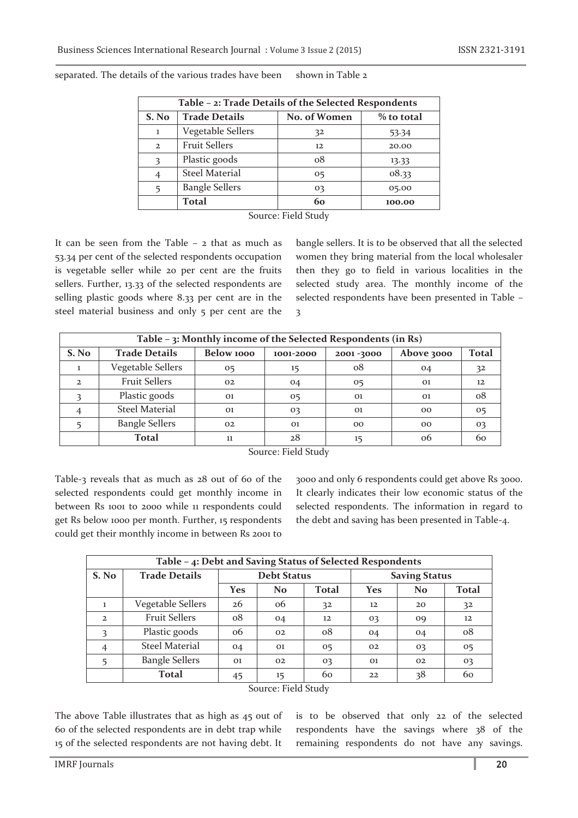| Table - 2: Trade Details of the Selected Respondents |                       |                            |        |  |  |  |
|------------------------------------------------------|-----------------------|----------------------------|--------|--|--|--|
| S. No                                                | <b>Trade Details</b>  | No. of Women<br>% to total |        |  |  |  |
| I.                                                   | Vegetable Sellers     | 32                         | 53.34  |  |  |  |
| $\overline{2}$                                       | <b>Fruit Sellers</b>  | 12                         | 20.00  |  |  |  |
| $\mathbf{3}$                                         | Plastic goods         | $\alpha$ <sup>8</sup>      | 13.33  |  |  |  |
|                                                      | <b>Steel Material</b> | 05                         | 08.33  |  |  |  |
| 5                                                    | <b>Bangle Sellers</b> | 03                         | 05.00  |  |  |  |
|                                                      | <b>Total</b>          | 60                         | 100.00 |  |  |  |

separated. The details of the various trades have been shown in Table 2

Source: Field Study

It can be seen from the Table  $-$  2 that as much as 53.34 per cent of the selected respondents occupation is vegetable seller while 20 per cent are the fruits sellers. Further, 13.33 of the selected respondents are selling plastic goods where 8.33 per cent are in the steel material business and only 5 per cent are the bangle sellers. It is to be observed that all the selected women they bring material from the local wholesaler then they go to field in various localities in the selected study area. The monthly income of the selected respondents have been presented in Table – 3

| Table - 3: Monthly income of the Selected Respondents (in Rs) |                       |                                      |    |            |                |                |  |  |
|---------------------------------------------------------------|-----------------------|--------------------------------------|----|------------|----------------|----------------|--|--|
| S. No                                                         | <b>Trade Details</b>  | Below 1000<br>2001-3000<br>1001-2000 |    | Above 3000 | <b>Total</b>   |                |  |  |
|                                                               | Vegetable Sellers     | 05                                   | 15 | 08         | 04             | 32             |  |  |
| $\mathbf{2}$                                                  | <b>Fruit Sellers</b>  | 02                                   | 04 | 05         | 01             | 12             |  |  |
|                                                               | Plastic goods         | 01                                   | 05 | 01         | O <sub>1</sub> | 08             |  |  |
| 4                                                             | <b>Steel Material</b> | 01                                   | 03 | 01         | 00             | 0 <sub>5</sub> |  |  |
|                                                               | <b>Bangle Sellers</b> | 02                                   | 01 | 00         | 00             | 03             |  |  |
|                                                               | <b>Total</b>          | 11                                   | 28 | 15         | 06             | 60             |  |  |

Source: Field Study

Table-3 reveals that as much as 28 out of 60 of the selected respondents could get monthly income in between Rs 1001 to 2000 while 11 respondents could get Rs below 1000 per month. Further, 15 respondents could get their monthly income in between Rs 2001 to

3000 and only 6 respondents could get above Rs 3000. It clearly indicates their low economic status of the selected respondents. The information in regard to the debt and saving has been presented in Table-4.

| Table - 4: Debt and Saving Status of Selected Respondents |                       |                    |                |             |                      |                |              |  |
|-----------------------------------------------------------|-----------------------|--------------------|----------------|-------------|----------------------|----------------|--------------|--|
| S. No                                                     | <b>Trade Details</b>  | <b>Debt Status</b> |                |             | <b>Saving Status</b> |                |              |  |
|                                                           |                       | Yes                | N <sub>o</sub> | Total       | <b>Yes</b>           | N <sub>o</sub> | <b>Total</b> |  |
| 1                                                         | Vegetable Sellers     | 26                 | 06             | 32          | 12                   | 20             | 32           |  |
| $\overline{2}$                                            | <b>Fruit Sellers</b>  | $\rm ^{o8}$        | 04             | 12          | 03                   | O <sub>9</sub> | 12           |  |
| 3                                                         | Plastic goods         | 06                 | 02             | $\rm ^{o8}$ | 04                   | 04             | $\rm ^{o8}$  |  |
| $\overline{4}$                                            | <b>Steel Material</b> | 04                 | 01             | 05          | 02                   | 03             | 05           |  |
| 5                                                         | <b>Bangle Sellers</b> | 01                 | 02             | 03          | $_{01}$              | 02             | 03           |  |
|                                                           | Total                 | 45                 | 15             | 60          | 22                   | 38             | 60           |  |
| $-110$<br>$\sim$                                          |                       |                    |                |             |                      |                |              |  |

Source: Field Study

The above Table illustrates that as high as 45 out of 60 of the selected respondents are in debt trap while 15 of the selected respondents are not having debt. It

is to be observed that only 22 of the selected respondents have the savings where 38 of the remaining respondents do not have any savings.